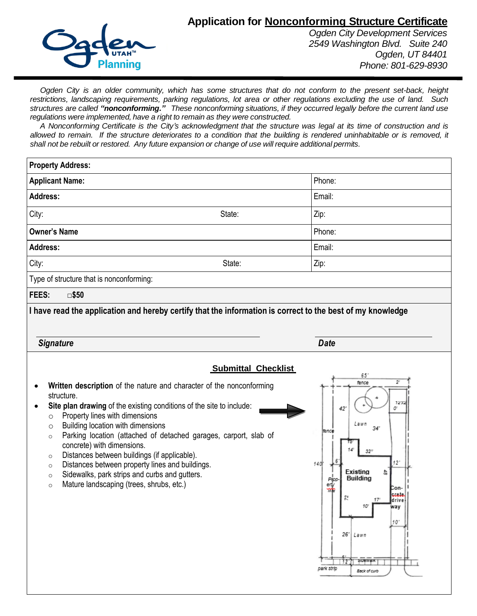# **Application for Nonconforming Structure Certificate**



*Ogden City Development Services 2549 Washington Blvd. Suite 240 Ogden, UT 84401 Phone: 801-629-8930*

Ogden City is an older community, which has some structures that do not conform to the present set-back, height *restrictions, landscaping requirements, parking regulations, lot area or other regulations excluding the use of land. Such* structures are called "nonconforming." These nonconforming situations, if they occurred legally before the current land use *regulations were implemented, have a right to remain as they were constructed.*

A Nonconforming Certificate is the City's acknowledgment that the structure was legal at its time of construction and is allowed to remain. If the structure deteriorates to a condition that the building is rendered uninhabitable or is removed, it *shall not be rebuilt or restored. Any future expansion or change of use will require additional permits.*

| <b>Property Address:</b>                                                                                                                                                                                                                                                                                                                                                                                                                                                                                                                                                                                                                            |                                                                                                                                                                                                                                                                               |
|-----------------------------------------------------------------------------------------------------------------------------------------------------------------------------------------------------------------------------------------------------------------------------------------------------------------------------------------------------------------------------------------------------------------------------------------------------------------------------------------------------------------------------------------------------------------------------------------------------------------------------------------------------|-------------------------------------------------------------------------------------------------------------------------------------------------------------------------------------------------------------------------------------------------------------------------------|
| <b>Applicant Name:</b>                                                                                                                                                                                                                                                                                                                                                                                                                                                                                                                                                                                                                              | Phone:                                                                                                                                                                                                                                                                        |
| <b>Address:</b>                                                                                                                                                                                                                                                                                                                                                                                                                                                                                                                                                                                                                                     | Email:                                                                                                                                                                                                                                                                        |
| City:<br>State:                                                                                                                                                                                                                                                                                                                                                                                                                                                                                                                                                                                                                                     | Zip:                                                                                                                                                                                                                                                                          |
| <b>Owner's Name</b>                                                                                                                                                                                                                                                                                                                                                                                                                                                                                                                                                                                                                                 | Phone:                                                                                                                                                                                                                                                                        |
| Address:                                                                                                                                                                                                                                                                                                                                                                                                                                                                                                                                                                                                                                            | Email:                                                                                                                                                                                                                                                                        |
| City:<br>State:                                                                                                                                                                                                                                                                                                                                                                                                                                                                                                                                                                                                                                     | Zip:                                                                                                                                                                                                                                                                          |
| Type of structure that is nonconforming:                                                                                                                                                                                                                                                                                                                                                                                                                                                                                                                                                                                                            |                                                                                                                                                                                                                                                                               |
| FEES:<br>$\Box$ \$50                                                                                                                                                                                                                                                                                                                                                                                                                                                                                                                                                                                                                                |                                                                                                                                                                                                                                                                               |
| <b>Signature</b>                                                                                                                                                                                                                                                                                                                                                                                                                                                                                                                                                                                                                                    | <b>Date</b>                                                                                                                                                                                                                                                                   |
| <b>Submittal Checklist</b><br>Written description of the nature and character of the nonconforming<br>structure.<br>Site plan drawing of the existing conditions of the site to include:<br>٠<br>Property lines with dimensions<br>$\circ$<br>Building location with dimensions<br>$\circ$<br>Parking location (attached of detached garages, carport, slab of<br>$\circ$<br>concrete) with dimensions.<br>Distances between buildings (if applicable).<br>$\circ$<br>Distances between property lines and buildings.<br>$\circ$<br>Sidewalks, park strips and curbs and gutters.<br>$\circ$<br>Mature landscaping (trees, shrubs, etc.)<br>$\circ$ | 65'<br>$2^{\circ}$<br>fence<br>12%2<br>42'<br>0'<br>Lawn<br>34 <sup>°</sup><br>hence<br>$32^n$<br>12<br>140<br>Existing<br>â<br>Building<br>erty<br>:on<br>m<br>crete<br>r.<br>17'<br>d rive<br>way<br>10'<br>26" Lawn<br><b>SIDEWAW</b><br>park strip<br><b>Back of curb</b> |